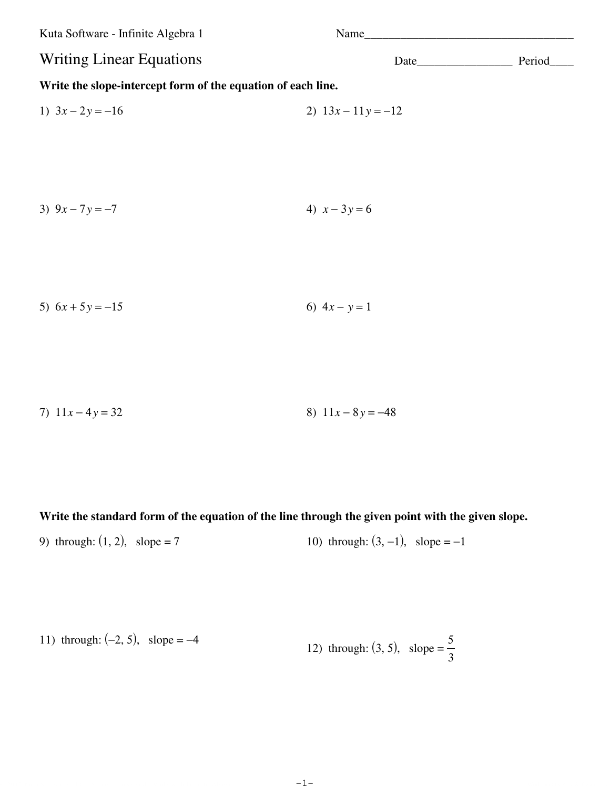Kuta Software - Infinite Algebra 1 Name\_\_\_\_\_\_\_\_\_\_\_\_\_\_\_\_\_\_\_\_\_\_\_\_\_\_\_\_\_\_\_\_\_\_\_ Writing Linear Equations Date\_\_\_\_\_\_\_\_\_\_\_\_\_\_\_\_ Period\_\_\_\_ **Write the slope-intercept form of the equation of each line.** 1)  $3x - 2y = -16$  2)  $13x - 11y = -12$ 3)  $9x - 7y = -7$  4)  $x - 3y = 6$ 

**Write the standard form of the equation of the line through the given point with the given slope.**

 $\Box$ 9 2012 Kuta Software LLC. All rights reserved. Majde with Iafinite Algebra 1.  $-1$   $-$ 

-1-

9) through:  $(1, 2)$ , slope = 7 10) through:  $(3, -1)$ , slope = -1

5)  $6x + 5y = -15$  6)  $4x - y = 1$ 

7)  $11x - 4y = 32$  8)  $11x - 8y = -48$ 

11) through: (-2, 5), slope = -4  
12) through: (3, 5), slope = 
$$
\frac{5}{3}
$$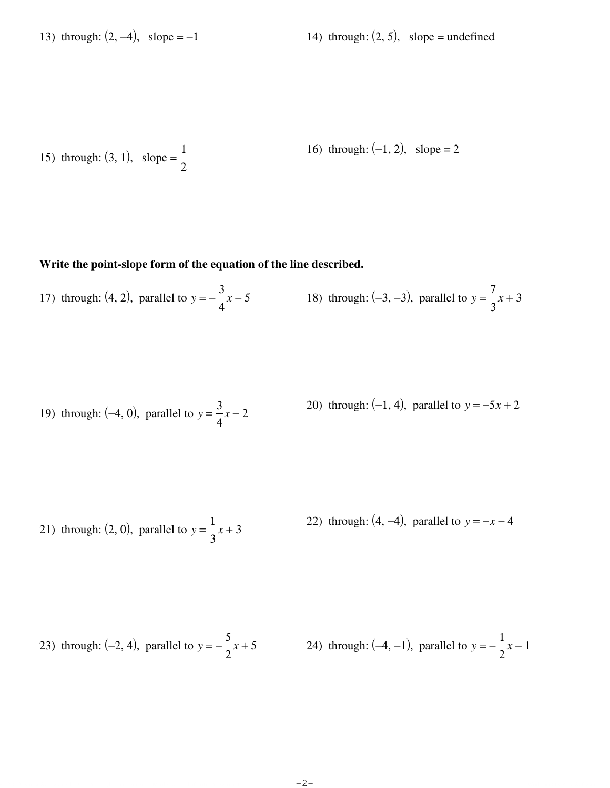15) through: (3, 1), slope = 
$$
\frac{1}{2}
$$
 16) through: (-1, 2), slope = 2

## **Write the point-slope form of the equation of the line described.**

17) through:  $(4, 2)$ , parallel to  $y = -$ 3 4 *x* − 5 18) through:  $(-3, -3)$ , parallel to *y* = 7  $\frac{7}{3}x + 3$ 

19) through: (−4, 0), parallel to *y* = 3  $\frac{3}{4}x-2$ 20) through:  $(-1, 4)$ , parallel to  $y = -5x + 2$ 

21) through:  $(2, 0)$ , parallel to  $y =$ 1  $\frac{1}{3}x + 3$ 22) through:  $(4, -4)$ , parallel to  $y = -x - 4$ 

23) through: (-2, 4), parallel to 
$$
y = -\frac{5}{2}x + 5
$$
 24) through: (-4, -1), parallel to  $y = -\frac{1}{2}x - 1$ 

©H c29011J24 yKXuAtUal dS9oef1t4w5aFrRen gL8LTCP.j <sup>R</sup> FA8lPlM frri0gChUt4st 9rweksOetrLveefdA.U <sup>b</sup> wMpaRdreG VwWiAtyhL dISnxfxidnxiStgef zASlHgIekbVrEan 11B.5 Worksheet by Kuta Software LLC

-2-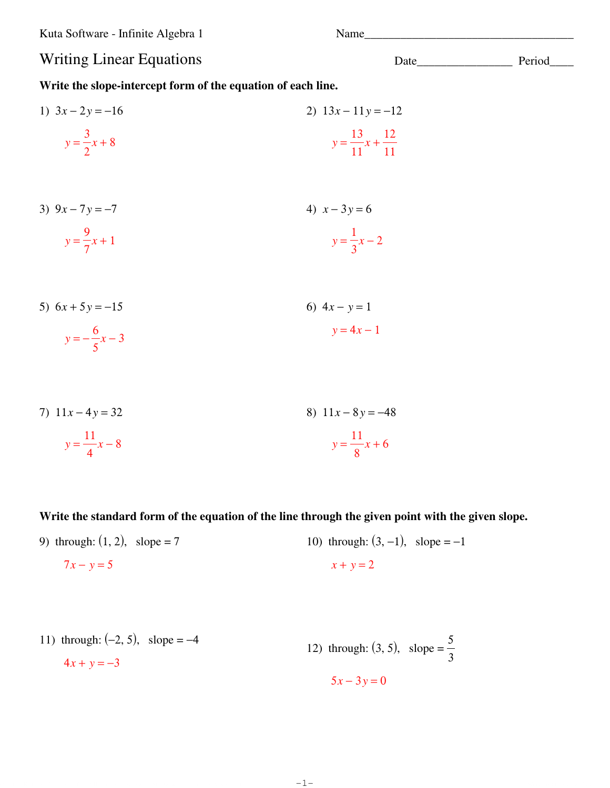Kuta Software - Infinite Algebra 1

## **Writing Linear Equations**

Write the slope-intercept form of the equation of each line.

1) 
$$
3x - 2y = -16
$$
  
\n $y = \frac{3}{2}x + 8$   
\n2)  $13x - 11y = -12$   
\n $y = \frac{13}{11}x + \frac{12}{11}$ 

- 3)  $9x 7y = -7$ 4)  $x - 3y = 6$  $y = \frac{9}{7}x + 1$  $y = \frac{1}{3}x - 2$
- 5)  $6x + 5y = -15$ 6)  $4x - y = 1$  $y = -\frac{6}{5}x - 3$  $y = 4x - 1$
- 7)  $11x 4y = 32$ 8)  $11x - 8y = -48$  $y = \frac{11}{8}x + 6$  $y = \frac{11}{4}x - 8$

Write the standard form of the equation of the line through the given point with the given slope.

 $-1-$ 

9) through:  $(1, 2)$ , slope = 7 10) through:  $(3, -1)$ , slope = -1  $7x - y = 5$  $x + y = 2$ 

11) through: (-2, 5), slope = -4  
\n
$$
4x + y = -3
$$
\n12) through: (3, 5), slope =  $\frac{5}{3}$   
\n
$$
5x - 3y = 0
$$

Date Period

Name Name